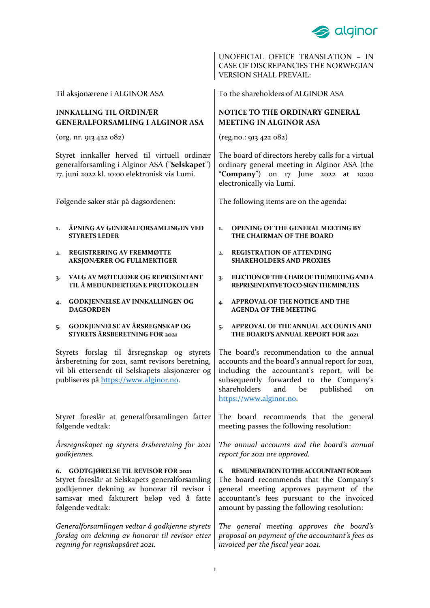

UNOFFICIAL OFFICE TRANSLATION – IN CASE OF DISCREPANCIES THE NORWEGIAN VERSION SHALL PREVAIL:

Til aksjonærene i ALGINOR ASA

# **INNKALLING TIL ORDINÆR GENERALFORSAMLING I ALGINOR ASA**

(org. nr. 913 422 082)

Styret innkaller herved til virtuell ordinær generalforsamling i Alginor ASA ("**Selskapet**") 17. juni 2022 kl. 10:00 elektronisk via Lumi.

Følgende saker står på dagsordenen:

- **1. ÅPNING AV GENERALFORSAMLINGEN VED STYRETS LEDER**
- **2. REGISTRERING AV FREMMØTTE AKSJONÆRER OG FULLMEKTIGER**
- **3. VALG AV MØTELEDER OG REPRESENTANT TIL Å MEDUNDERTEGNE PROTOKOLLEN**
- **4. GODKJENNELSE AV INNKALLINGEN OG DAGSORDEN**
- **5. GODKJENNELSE AV ÅRSREGNSKAP OG STYRETS ÅRSBERETNING FOR 2021**

Styrets forslag til årsregnskap og styrets årsberetning for 2021, samt revisors beretning, vil bli ettersendt til Selskapets aksjonærer og publiseres på [https://www.alginor.no.](https://www.alginor.no/)

Styret foreslår at generalforsamlingen fatter følgende vedtak:

*Årsregnskapet og styrets årsberetning for 2021 godkjennes.*

### **6. GODTGJØRELSE TIL REVISOR FOR 2021**

Styret foreslår at Selskapets generalforsamling godkjenner dekning av honorar til revisor i samsvar med fakturert beløp ved å fatte følgende vedtak:

*Generalforsamlingen vedtar å godkjenne styrets forslag om dekning av honorar til revisor etter regning for regnskapsåret 2021.*

To the shareholders of ALGINOR ASA

# **NOTICE TO THE ORDINARY GENERAL MEETING IN ALGINOR ASA**

(reg.no.: 913 422 082)

The board of directors hereby calls for a virtual ordinary general meeting in Alginor ASA (the "**Company**") on 17 June 2022 at 10:00 electronically via Lumi.

The following items are on the agenda:

- **1. OPENING OF THE GENERAL MEETING BY THE CHAIRMAN OF THE BOARD**
- **2. REGISTRATION OF ATTENDING SHAREHOLDERS AND PROXIES**
- **3. ELECTION OF THE CHAIR OF THE MEETING AND A REPRESENTATIVE TO CO-SIGN THE MINUTES**
- **4. APPROVAL OF THE NOTICE AND THE AGENDA OF THE MEETING**
- **5. APPROVAL OF THE ANNUAL ACCOUNTS AND THE BOARD'S ANNUAL REPORT FOR 2021**

The board's recommendation to the annual accounts and the board's annual report for 2021, including the accountant's report, will be subsequently forwarded to the Company's shareholders and be published on [https://www.alginor.no.](https://www.alginor.no/)

The board recommends that the general meeting passes the following resolution:

*The annual accounts and the board's annual report for 2021 are approved.* 

**6. REMUNERATION TO THE ACCOUNTANT FOR 2021** The board recommends that the Company's general meeting approves payment of the accountant's fees pursuant to the invoiced amount by passing the following resolution:

*The general meeting approves the board's proposal on payment of the accountant's fees as invoiced per the fiscal year 2021.*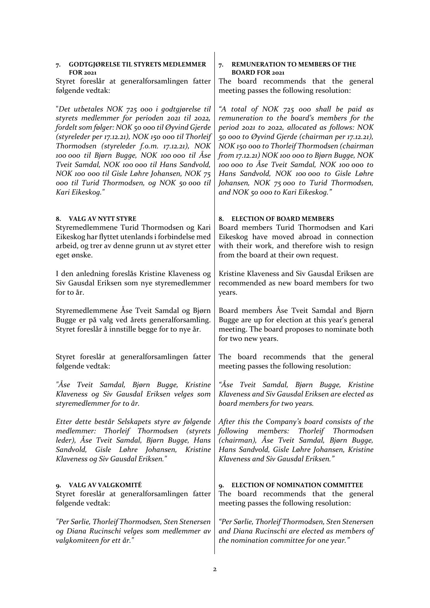### **7. GODTGJØRELSE TIL STYRETS MEDLEMMER FOR 2021**

Styret foreslår at generalforsamlingen fatter følgende vedtak:

"*Det utbetales NOK 725 000 i godtgjørelse til styrets medlemmer for perioden 2021 til 2022, fordelt som følger: NOK 50 000 til Øyvind Gjerde (styreleder per 17.12.21), NOK 150 000 til Thorleif Thormodsen (styreleder f.o.m. 17.12.21), NOK 100 000 til Bjørn Bugge, NOK 100 000 til Åse Tveit Samdal, NOK 100 000 til Hans Sandvold, NOK 100 000 til Gisle Løhre Johansen, NOK 75 000 til Turid Thormodsen, og NOK 50 000 til Kari Eikeskog."*

## **8. VALG AV NYTT STYRE**

Styremedlemmene Turid Thormodsen og Kari Eikeskog har flyttet utenlands i forbindelse med arbeid, og trer av denne grunn ut av styret etter eget ønske.

I den anledning foreslås Kristine Klaveness og Siv Gausdal Eriksen som nye styremedlemmer for to år.

Styremedlemmene Åse Tveit Samdal og Bjørn Bugge er på valg ved årets generalforsamling. Styret foreslår å innstille begge for to nye år.

Styret foreslår at generalforsamlingen fatter følgende vedtak:

*"Åse Tveit Samdal, Bjørn Bugge, Kristine Klaveness og Siv Gausdal Eriksen velges som styremedlemmer for to år.* 

*Etter dette består Selskapets styre av følgende medlemmer: Thorleif Thormodsen (styrets leder), Åse Tveit Samdal, Bjørn Bugge, Hans Sandvold, Gisle Løhre Johansen, Kristine Klaveness og Siv Gausdal Eriksen."*

# **9. VALG AV VALGKOMITÉ**

Styret foreslår at generalforsamlingen fatter følgende vedtak:

*"Per Sørlie, Thorleif Thormodsen, Sten Stenersen og Diana Rucinschi velges som medlemmer av valgkomiteen for ett år."*

#### **7. REMUNERATION TO MEMBERS OF THE BOARD FOR 2021**

The board recommends that the general meeting passes the following resolution:

*"A total of NOK 725 000 shall be paid as remuneration to the board's members for the period 2021 to 2022, allocated as follows: NOK 50 000 to Øyvind Gjerde (chairman per 17.12.21), NOK 150 000 to Thorleif Thormodsen (chairman from 17.12.21) NOK 100 000 to Bjørn Bugge, NOK 100 000 to Åse Tveit Samdal, NOK 100 000 to Hans Sandvold, NOK 100 000 to Gisle Løhre Johansen, NOK 75 000 to Turid Thormodsen, and NOK 50 000 to Kari Eikeskog."*

## **8. ELECTION OF BOARD MEMBERS**

Board members Turid Thormodsen and Kari Eikeskog have moved abroad in connection with their work, and therefore wish to resign from the board at their own request.

Kristine Klaveness and Siv Gausdal Eriksen are recommended as new board members for two years.

Board members Åse Tveit Samdal and Bjørn Bugge are up for election at this year's general meeting. The board proposes to nominate both for two new years.

The board recommends that the general meeting passes the following resolution:

*"Åse Tveit Samdal, Bjørn Bugge, Kristine Klaveness and Siv Gausdal Eriksen are elected as board members for two years.* 

*After this the Company's board consists of the following members: Thorleif Thormodsen (chairman), Åse Tveit Samdal, Bjørn Bugge, Hans Sandvold, Gisle Løhre Johansen, Kristine Klaveness and Siv Gausdal Eriksen."*

#### **9. ELECTION OF NOMINATION COMMITTEE**

The board recommends that the general meeting passes the following resolution:

*"Per Sørlie, Thorleif Thormodsen, Sten Stenersen and Diana Rucinschi are elected as members of the nomination committee for one year."*